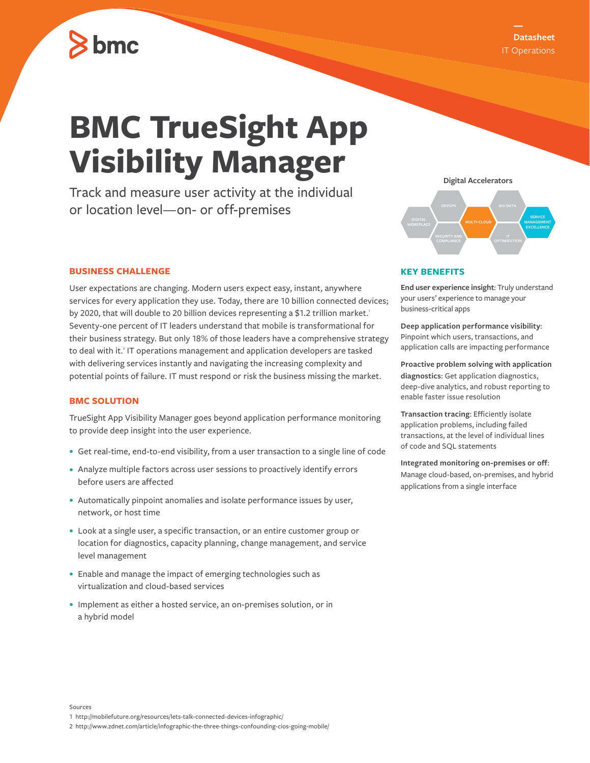

# **BMC TrueSight App Visibility Manager**

Track and measure user activity at the individual or location level—on- or off-premises

#### **BUSINESS CHALLENGE**

User expectations are changing. Modern users expect easy, instant, anywhere services for every application they use. Today, there are 10 billion connected devices; by 2020, that will double to 20 billion devices representing a \$1.2 trillion market.<sup>1</sup> Seventy-one percent of IT leaders understand that mobile is transformational for their business strategy. But only 18% of those leaders have a comprehensive strategy to deal with it.<sup>2</sup> IT operations management and application developers are tasked with delivering services instantly and navigating the increasing complexity and potential points of failure. IT must respond or risk the business missing the market.

#### **BMC SOLUTION**

TrueSight App Visibility Manager goes beyond application performance monitoring to provide deep insight into the user experience.

- **•** Get real-time, end-to-end visibility, from a user transaction to a single line of code
- **•** Analyze multiple factors across user sessions to proactively identify errors before users are affected
- **•** Automatically pinpoint anomalies and isolate performance issues by user, network, or host time
- **•** Look at a single user, a specific transaction, or an entire customer group or location for diagnostics, capacity planning, change management, and service level management
- **•** Enable and manage the impact of emerging technologies such as virtualization and cloud-based services
- **•** Implement as either a hosted service, an on-premises solution, or in a hybrid model



#### **KEY BENEFITS**

**End user experience insight**: Truly understand your users' experience to manage your business-critical apps

**Deep application performance visibility**: Pinpoint which users, transactions, and application calls are impacting performance

**Proactive problem solving with application diagnostics**: Get application diagnostics, deep-dive analytics, and robust reporting to enable faster issue resolution

**Transaction tracing**: Efficiently isolate application problems, including failed transactions, at the level of individual lines of code and SQL statements

**Integrated monitoring on-premises or off**: Manage cloud-based, on-premises, and hybrid applications from a single interface

1 http://mobilefuture.org/resources/lets-talk-connected-devices-infographic/

<sup>2</sup> http://www.zdnet.com/article/infographic-the-three-things-confounding-cios-going-mobile/